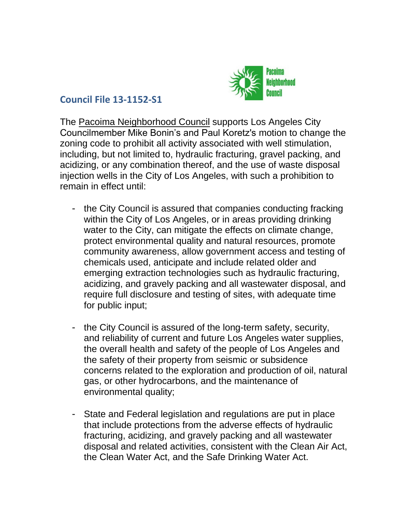

## **Council File 13-1152-S1**

The Pacoima Neighborhood Council supports Los Angeles City Councilmember Mike Bonin's and Paul Koretz's motion to change the zoning code to prohibit all activity associated with well stimulation, including, but not limited to, hydraulic fracturing, gravel packing, and acidizing, or any combination thereof, and the use of waste disposal injection wells in the City of Los Angeles, with such a prohibition to remain in effect until:

- the City Council is assured that companies conducting fracking within the City of Los Angeles, or in areas providing drinking water to the City, can mitigate the effects on climate change, protect environmental quality and natural resources, promote community awareness, allow government access and testing of chemicals used, anticipate and include related older and emerging extraction technologies such as hydraulic fracturing, acidizing, and gravely packing and all wastewater disposal, and require full disclosure and testing of sites, with adequate time for public input;
- the City Council is assured of the long-term safety, security, and reliability of current and future Los Angeles water supplies, the overall health and safety of the people of Los Angeles and the safety of their property from seismic or subsidence concerns related to the exploration and production of oil, natural gas, or other hydrocarbons, and the maintenance of environmental quality;
- State and Federal legislation and regulations are put in place that include protections from the adverse effects of hydraulic fracturing, acidizing, and gravely packing and all wastewater disposal and related activities, consistent with the Clean Air Act, the Clean Water Act, and the Safe Drinking Water Act.